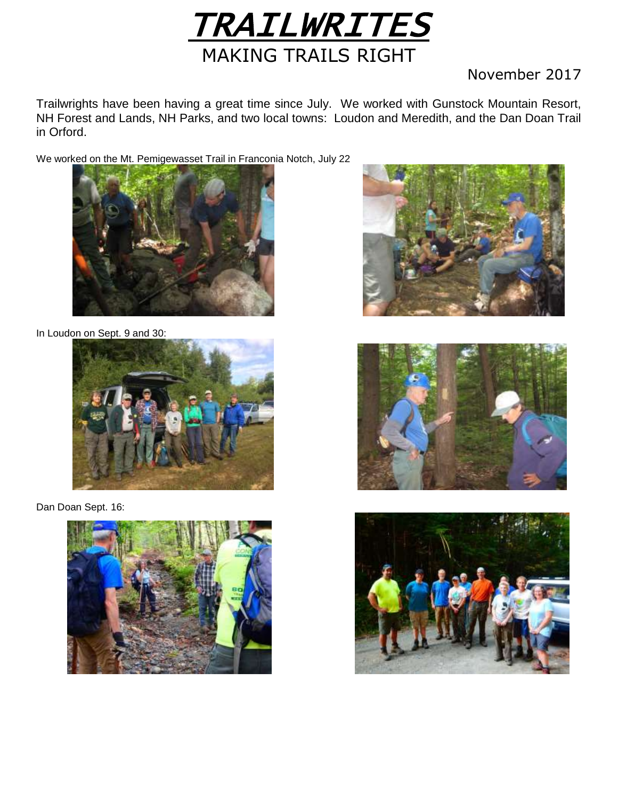

## November 2017

Trailwrights have been having a great time since July. We worked with Gunstock Mountain Resort, NH Forest and Lands, NH Parks, and two local towns: Loudon and Meredith, and the Dan Doan Trail in Orford.

We worked on the Mt. Pemigewasset Trail in Franconia Notch, July 22



In Loudon on Sept. 9 and 30:



Dan Doan Sept. 16:







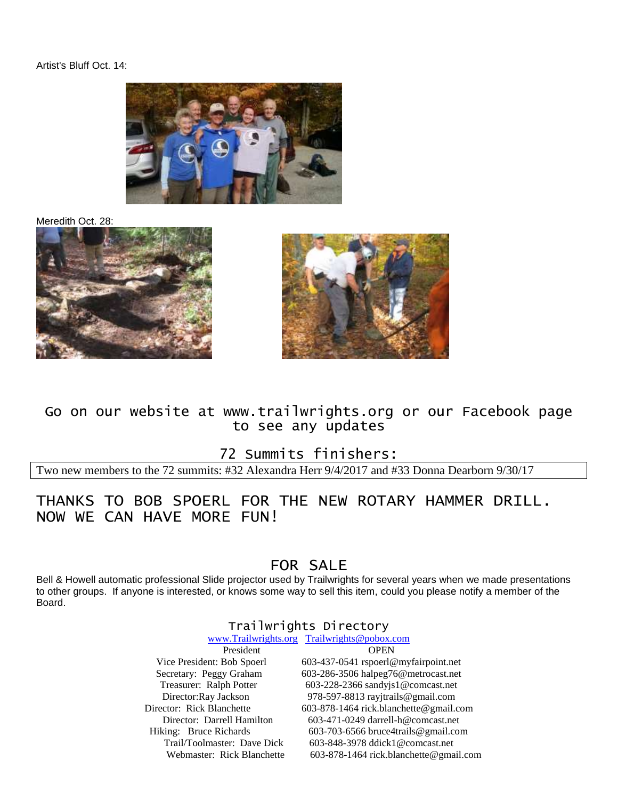#### Artist's Bluff Oct. 14:



Meredith Oct. 28:





### Go on our website at www.trailwrights.org or our Facebook page to see any updates

72 Summits finishers:

Two new members to the 72 summits: #32 Alexandra Herr 9/4/2017 and #33 Donna Dearborn 9/30/17

### THANKS TO BOB SPOERL FOR THE NEW ROTARY HAMMER DRILL. NOW WE CAN HAVE MORE FUN!

## FOR SALE

Bell & Howell automatic professional Slide projector used by Trailwrights for several years when we made presentations to other groups. If anyone is interested, or knows some way to sell this item, could you please notify a member of the Board.

### Trailwrights Directory

|                             | www.Trailwrights.org Trailwrights@pobox.com |  |
|-----------------------------|---------------------------------------------|--|
| President                   | <b>OPEN</b>                                 |  |
| Vice President: Bob Spoerl  | 603-437-0541 rspoerl@myfairpoint.net        |  |
| Secretary: Peggy Graham     | 603-286-3506 halpeg76@metrocast.net         |  |
| Treasurer: Ralph Potter     | 603-228-2366 sandyjs1@comcast.net           |  |
| Director:Ray Jackson        | 978-597-8813 rayjtrails@gmail.com           |  |
| Director: Rick Blanchette   | 603-878-1464 rick.blanchette@gmail.com      |  |
| Director: Darrell Hamilton  | $603-471-0249$ darrell-h@comcast.net        |  |
| Hiking: Bruce Richards      | 603-703-6566 bruce4trails@gmail.com         |  |
| Trail/Toolmaster: Dave Dick | 603-848-3978 ddick1@comcast.net             |  |
| Webmaster: Rick Blanchette  | 603-878-1464 rick.blanchette@gmail.com      |  |